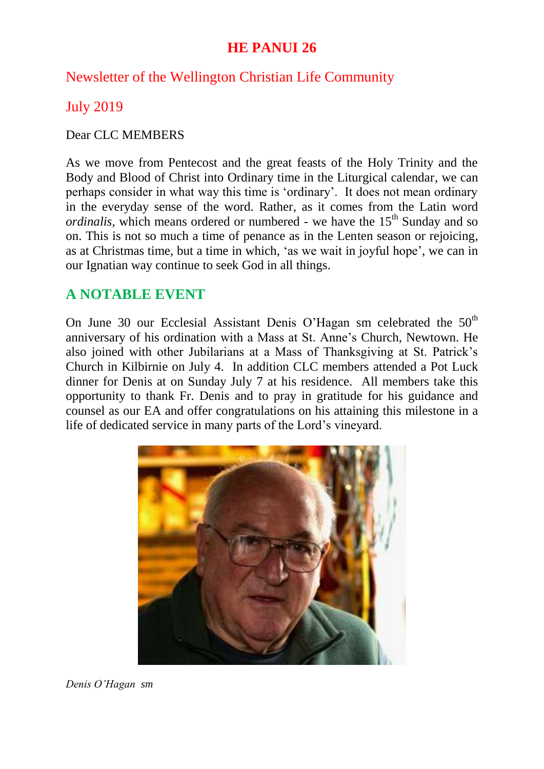# **HE PANUI 26**

## Newsletter of the Wellington Christian Life Community

### July 2019

#### Dear CLC MEMBERS

As we move from Pentecost and the great feasts of the Holy Trinity and the Body and Blood of Christ into Ordinary time in the Liturgical calendar, we can perhaps consider in what way this time is 'ordinary'. It does not mean ordinary in the everyday sense of the word. Rather, as it comes from the Latin word *ordinalis*, which means ordered or numbered - we have the 15<sup>th</sup> Sunday and so on. This is not so much a time of penance as in the Lenten season or rejoicing, as at Christmas time, but a time in which, 'as we wait in joyful hope', we can in our Ignatian way continue to seek God in all things.

# **A NOTABLE EVENT**

On June 30 our Ecclesial Assistant Denis O'Hagan sm celebrated the  $50<sup>th</sup>$ anniversary of his ordination with a Mass at St. Anne's Church, Newtown. He also joined with other Jubilarians at a Mass of Thanksgiving at St. Patrick's Church in Kilbirnie on July 4. In addition CLC members attended a Pot Luck dinner for Denis at on Sunday July 7 at his residence. All members take this opportunity to thank Fr. Denis and to pray in gratitude for his guidance and counsel as our EA and offer congratulations on his attaining this milestone in a life of dedicated service in many parts of the Lord's vineyard.



*Denis O'Hagan sm*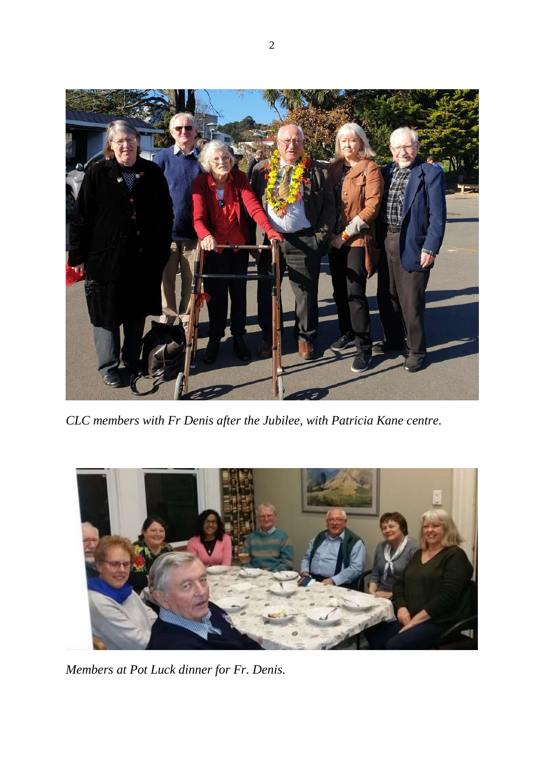

*CLC members with Fr Denis after the Jubilee, with Patricia Kane centre.*



*Members at Pot Luck dinner for Fr. Denis.*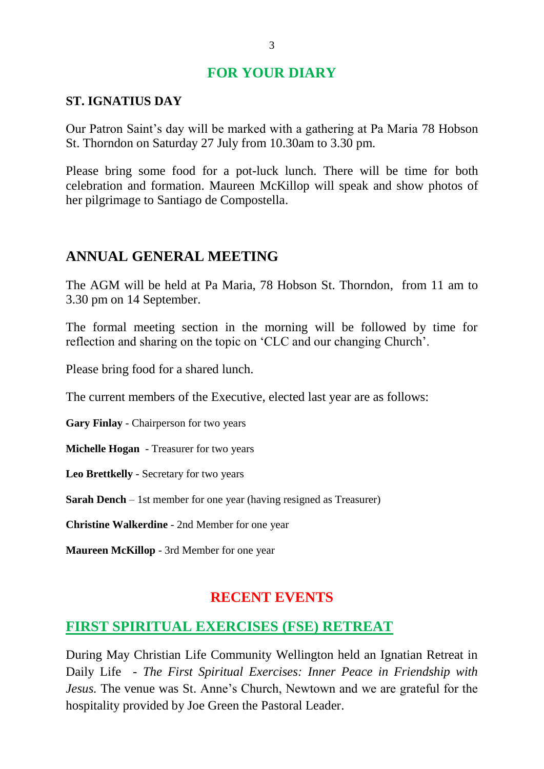#### **FOR YOUR DIARY**

#### **ST. IGNATIUS DAY**

Our Patron Saint's day will be marked with a gathering at Pa Maria 78 Hobson St. Thorndon on Saturday 27 July from 10.30am to 3.30 pm.

Please bring some food for a pot-luck lunch. There will be time for both celebration and formation. Maureen McKillop will speak and show photos of her pilgrimage to Santiago de Compostella.

#### **ANNUAL GENERAL MEETING**

The AGM will be held at Pa Maria, 78 Hobson St. Thorndon, from 11 am to 3.30 pm on 14 September.

The formal meeting section in the morning will be followed by time for reflection and sharing on the topic on 'CLC and our changing Church'.

Please bring food for a shared lunch.

The current members of the Executive, elected last year are as follows:

**Gary Finlay** - Chairperson for two years

**Michelle Hogan** - Treasurer for two years

**Leo Brettkelly** - Secretary for two years

**Sarah Dench** – 1st member for one year (having resigned as Treasurer)

**Christine Walkerdine** - 2nd Member for one year

**Maureen McKillop** - 3rd Member for one year

#### **RECENT EVENTS**

#### **FIRST SPIRITUAL EXERCISES (FSE) RETREAT**

During May Christian Life Community Wellington held an Ignatian Retreat in Daily Life - *The First Spiritual Exercises: Inner Peace in Friendship with Jesus.* The venue was St. Anne's Church, Newtown and we are grateful for the hospitality provided by Joe Green the Pastoral Leader.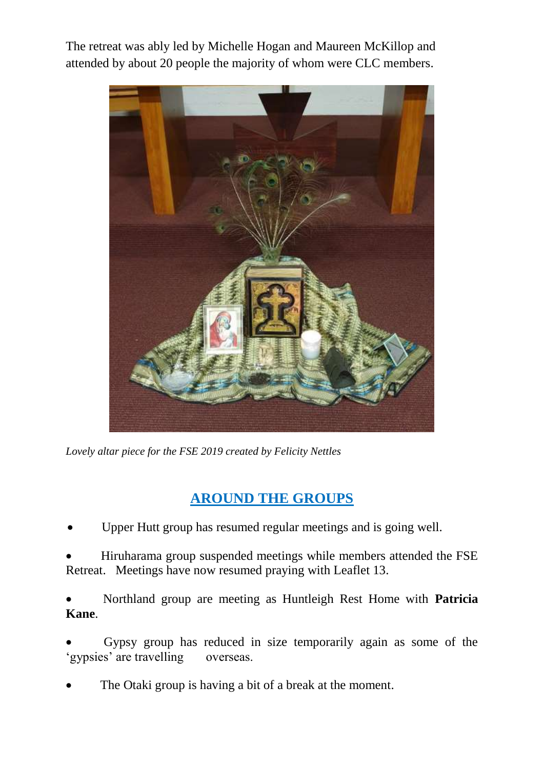The retreat was ably led by Michelle Hogan and Maureen McKillop and attended by about 20 people the majority of whom were CLC members.



*Lovely altar piece for the FSE 2019 created by Felicity Nettles*

# **AROUND THE GROUPS**

Upper Hutt group has resumed regular meetings and is going well.

 Hiruharama group suspended meetings while members attended the FSE Retreat. Meetings have now resumed praying with Leaflet 13.

 Northland group are meeting as Huntleigh Rest Home with **Patricia Kane**.

 Gypsy group has reduced in size temporarily again as some of the 'gypsies' are travelling overseas.

The Otaki group is having a bit of a break at the moment.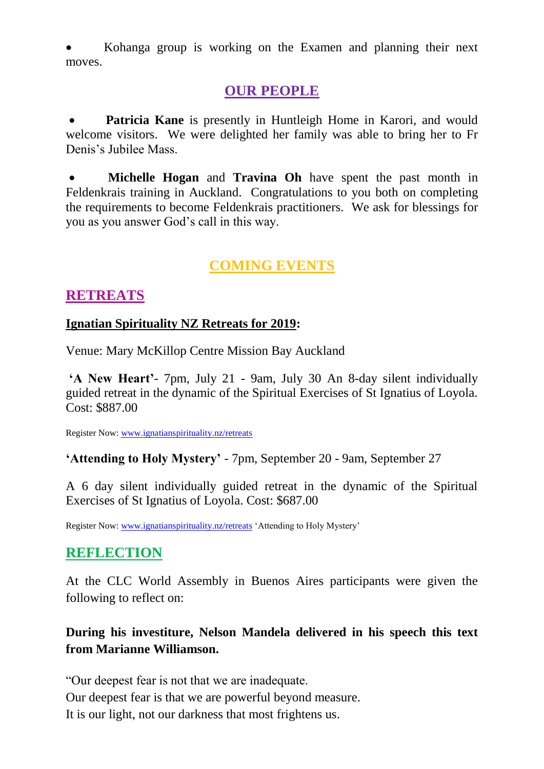Kohanga group is working on the Examen and planning their next moves.

# **OUR PEOPLE**

Patricia Kane is presently in Huntleigh Home in Karori, and would welcome visitors. We were delighted her family was able to bring her to Fr Denis's Jubilee Mass.

 **Michelle Hogan** and **Travina Oh** have spent the past month in Feldenkrais training in Auckland. Congratulations to you both on completing the requirements to become Feldenkrais practitioners. We ask for blessings for you as you answer God's call in this way.

# **COMING EVENTS**

### **RETREATS**

#### **Ignatian Spirituality NZ Retreats for 2019:**

Venue: Mary McKillop Centre Mission Bay Auckland

**'A New Heart'**- 7pm, July 21 - 9am, July 30 An 8-day silent individually guided retreat in the dynamic of the Spiritual Exercises of St Ignatius of Loyola. Cost: \$887.00

Register Now: [www.ignatianspirituality.nz/retreats](http://www.ignatianspirituality.nz/retreats)

**'Attending to Holy Mystery'** - 7pm, September 20 - 9am, September 27

A 6 day silent individually guided retreat in the dynamic of the Spiritual Exercises of St Ignatius of Loyola. Cost: \$687.00

Register Now: [www.ignatianspirituality.nz/retreats](http://www.ignatianspirituality.nz/retreats) 'Attending to Holy Mystery'

# **REFLECTION**

At the CLC World Assembly in Buenos Aires participants were given the following to reflect on:

### **During his investiture, Nelson Mandela delivered in his speech this text from Marianne Williamson.**

"Our deepest fear is not that we are inadequate. Our deepest fear is that we are powerful beyond measure. It is our light, not our darkness that most frightens us.